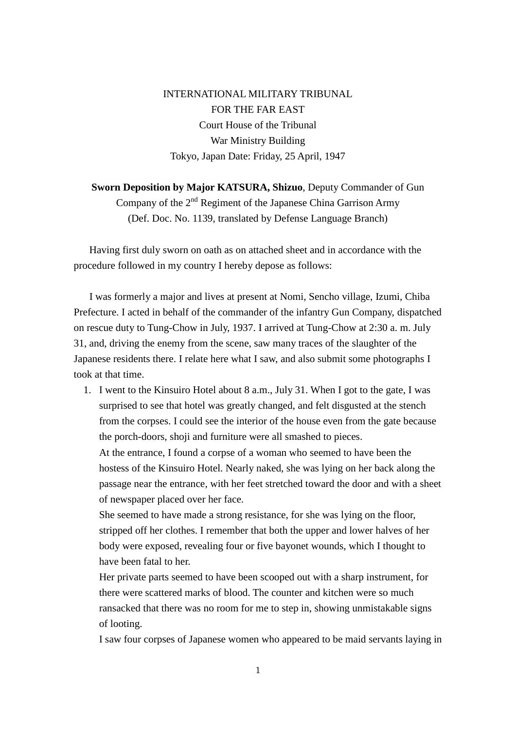INTERNATIONAL MILITARY TRIBUNAL FOR THE FAR EAST Court House of the Tribunal War Ministry Building Tokyo, Japan Date: Friday, 25 April, 1947

**Sworn Deposition by Major KATSURA, Shizuo**, Deputy Commander of Gun Company of the  $2<sup>nd</sup>$  Regiment of the Japanese China Garrison Army (Def. Doc. No. 1139, translated by Defense Language Branch)

Having first duly sworn on oath as on attached sheet and in accordance with the procedure followed in my country I hereby depose as follows:

 I was formerly a major and lives at present at Nomi, Sencho village, Izumi, Chiba Prefecture. I acted in behalf of the commander of the infantry Gun Company, dispatched on rescue duty to Tung-Chow in July, 1937. I arrived at Tung-Chow at 2:30 a. m. July 31, and, driving the enemy from the scene, saw many traces of the slaughter of the Japanese residents there. I relate here what I saw, and also submit some photographs I took at that time.

1. I went to the Kinsuiro Hotel about 8 a.m., July 31. When I got to the gate, I was surprised to see that hotel was greatly changed, and felt disgusted at the stench from the corpses. I could see the interior of the house even from the gate because the porch-doors, shoji and furniture were all smashed to pieces.

At the entrance, I found a corpse of a woman who seemed to have been the hostess of the Kinsuiro Hotel. Nearly naked, she was lying on her back along the passage near the entrance, with her feet stretched toward the door and with a sheet of newspaper placed over her face.

She seemed to have made a strong resistance, for she was lying on the floor, stripped off her clothes. I remember that both the upper and lower halves of her body were exposed, revealing four or five bayonet wounds, which I thought to have been fatal to her.

Her private parts seemed to have been scooped out with a sharp instrument, for there were scattered marks of blood. The counter and kitchen were so much ransacked that there was no room for me to step in, showing unmistakable signs of looting.

I saw four corpses of Japanese women who appeared to be maid servants laying in